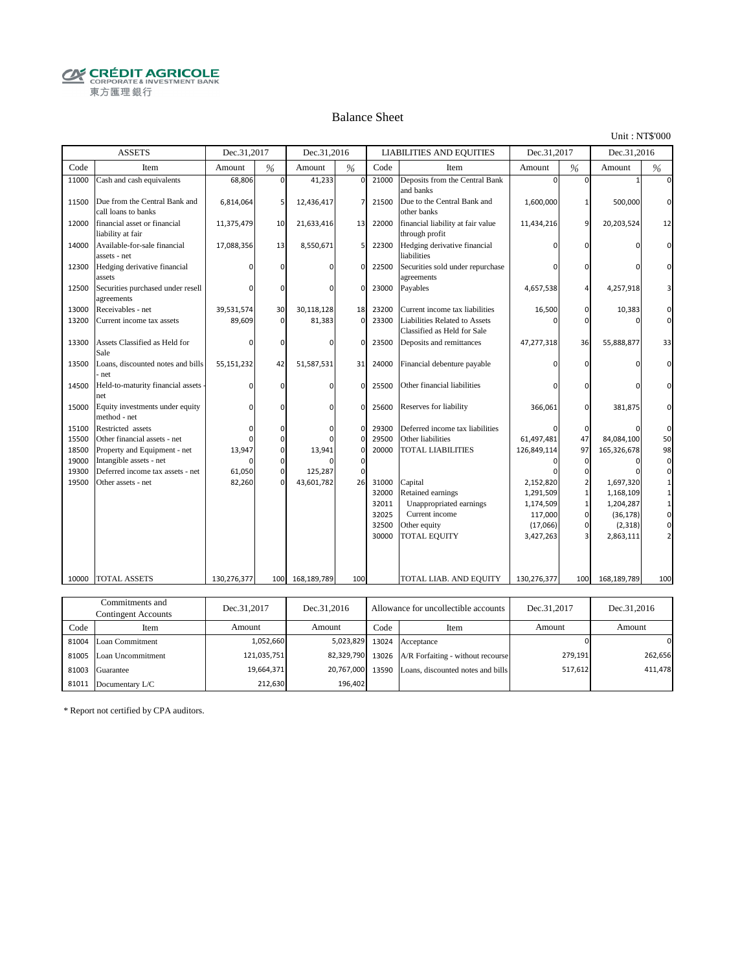**CRÉDIT AGRICOLE** 東方匯理銀行

#### Balance Sheet

Unit : NT\$'000

|       | <b>ASSETS</b>                                        | Dec.31,2017      |             | Dec.31,2016       |                |                | <b>LIABILITIES AND EQUITIES</b>                              | Dec.31,2017             |              | Dec.31,2016       |          |
|-------|------------------------------------------------------|------------------|-------------|-------------------|----------------|----------------|--------------------------------------------------------------|-------------------------|--------------|-------------------|----------|
| Code  | Item                                                 | Amount           | %           | Amount            | %              | Code           | Item                                                         | Amount                  | %            | Amount            | %        |
| 11000 | Cash and cash equivalents                            | 68,806           | $\mathbf 0$ | 41,233            | $\mathbf 0$    | 21000          | Deposits from the Central Bank<br>and banks                  | ŋ                       | $\Omega$     |                   |          |
| 11500 | Due from the Central Bank and<br>call loans to banks | 6,814,064        | 5           | 12,436,417        | $\overline{7}$ | 21500          | Due to the Central Bank and<br>other banks                   | 1,600,000               |              | 500,000           | 0        |
| 12000 | financial asset or financial<br>liability at fair    | 11,375,479       | 10          | 21,633,416        | 13             | 22000          | financial liability at fair value<br>through profit          | 11,434,216              | 9            | 20,203,524        | 12       |
| 14000 | Available-for-sale financial<br>assets - net         | 17,088,356       | 13          | 8,550,671         | 5              | 22300          | Hedging derivative financial<br>liabilities                  |                         |              |                   |          |
| 12300 | Hedging derivative financial<br>assets               |                  | ŋ           |                   | $\mathbf 0$    | 22500          | Securities sold under repurchase<br>agreements               |                         |              |                   |          |
| 12500 | Securities purchased under resell<br>agreements      | O                | $\Omega$    | <sup>n</sup>      | $\mathbf 0$    | 23000          | Payables                                                     | 4,657,538               |              | 4,257,918         |          |
| 13000 | Receivables - net                                    | 39,531,574       | 30          | 30,118,128        | 18             | 23200          | Current income tax liabilities                               | 16,500                  | $\Omega$     | 10,383            | $\Omega$ |
| 13200 | Current income tax assets                            | 89,609           | $\Omega$    | 81,383            | $\Omega$       | 23300          | Liabilities Related to Assets<br>Classified as Held for Sale |                         | $\Omega$     |                   | $\Omega$ |
| 13300 | Assets Classified as Held for<br>Sale                |                  | O           |                   | $\Omega$       | 23500          | Deposits and remittances                                     | 47,277,318              | 36           | 55,888,877        | 33       |
| 13500 | Loans, discounted notes and bills<br>net             | 55,151,232       | 42          | 51,587,531        | 31             | 24000          | Financial debenture payable                                  |                         |              |                   |          |
| 14500 | Held-to-maturity financial assets<br>net             | $\Omega$         | $\Omega$    | $\Omega$          | $\Omega$       | 25500          | Other financial liabilities                                  |                         |              |                   |          |
| 15000 | Equity investments under equity<br>method - net      | $\Omega$         | $\Omega$    | $\Omega$          | $\mathbf 0$    | 25600          | Reserves for liability                                       | 366,061                 | <sup>0</sup> | 381,875           |          |
| 15100 | Restricted assets                                    | 0                | $\Omega$    | $\Omega$          | $\mathbf 0$    | 29300          | Deferred income tax liabilities                              |                         |              |                   | $\Omega$ |
| 15500 | Other financial assets - net                         | $\Omega$         | 0           |                   | $\mathbf 0$    | 29500          | Other liabilities                                            | 61,497,481              | 47           | 84,084,100        | 50       |
| 18500 | Property and Equipment - net                         | 13,947           | 0           | 13,941            | $\mathbf 0$    | 20000          | <b>TOTAL LIABILITIES</b>                                     | 126,849,114             | 97           | 165,326,678       | 98       |
| 19000 | Intangible assets - net                              |                  | 0           |                   | $\mathbf 0$    |                |                                                              | n                       | $\Omega$     | ŋ                 | $\Omega$ |
| 19300 | Deferred income tax assets - net                     | 61,050           | $\mathbf 0$ | 125,287           | $\mathbf 0$    |                |                                                              |                         |              |                   | $\Omega$ |
| 19500 | Other assets - net                                   | 82,260           | $\Omega$    | 43,601,782        | 26             | 31000          | Capital                                                      | 2,152,820               |              | 1,697,320         |          |
|       |                                                      |                  |             |                   |                | 32000          | Retained earnings                                            | 1,291,509               |              | 1,168,109         |          |
|       |                                                      |                  |             |                   |                | 32011          | Unappropriated earnings                                      | 1,174,509               |              | 1,204,287         |          |
|       |                                                      |                  |             |                   |                | 32025          | Current income                                               | 117,000                 | $\Omega$     | (36, 178)         | $\Omega$ |
|       |                                                      |                  |             |                   |                | 32500<br>30000 | Other equity<br><b>TOTAL EQUITY</b>                          | (17,066)                |              | (2, 318)          |          |
|       |                                                      |                  |             |                   |                |                |                                                              | 3,427,263               |              | 2,863,111         |          |
| 10000 | TOTAL ASSETS                                         | 130,276,377      | 100         | 168,189,789       | 100            |                | TOTAL LIAB. AND EQUITY                                       | 130,276,377             | 100          | 168,189,789       | 100      |
|       |                                                      |                  |             |                   |                |                |                                                              |                         |              |                   |          |
|       | Commitments and                                      | $D_{22}$ 21.2017 |             | $D_{0.2}$ 21.3016 |                |                | Allowango for ungollastible accounts                         | D <sub>22</sub> 21 2017 |              | $D_{0.2}$ 21.3016 |          |

|       | Commitments and<br>Contingent Accounts | Dec.31,2017 | Dec.31.2016      | Allowance for uncollectible accounts |                                                    | Dec.31.2017 | Dec.31,2016 |
|-------|----------------------------------------|-------------|------------------|--------------------------------------|----------------------------------------------------|-------------|-------------|
| Code  | Item                                   | Amount      | Amount           | Code                                 | Item                                               | Amount      | Amount      |
|       | 81004 Loan Commitment                  | 1,052,660   |                  |                                      | 5,023,829 13024 Acceptance                         |             |             |
|       | 81005 Loan Uncommitment                | 121,035,751 |                  |                                      | 82,329,790 13026 A/R Forfaiting - without recourse | 279,191     | 262,656     |
|       | 81003 Guarantee                        | 19,664,371  | 20,767,000 13590 |                                      | Loans, discounted notes and bills                  | 517,612     | 411,478     |
| 81011 | Documentary L/C                        | 212.630     | 196.402          |                                      |                                                    |             |             |

\* Report not certified by CPA auditors.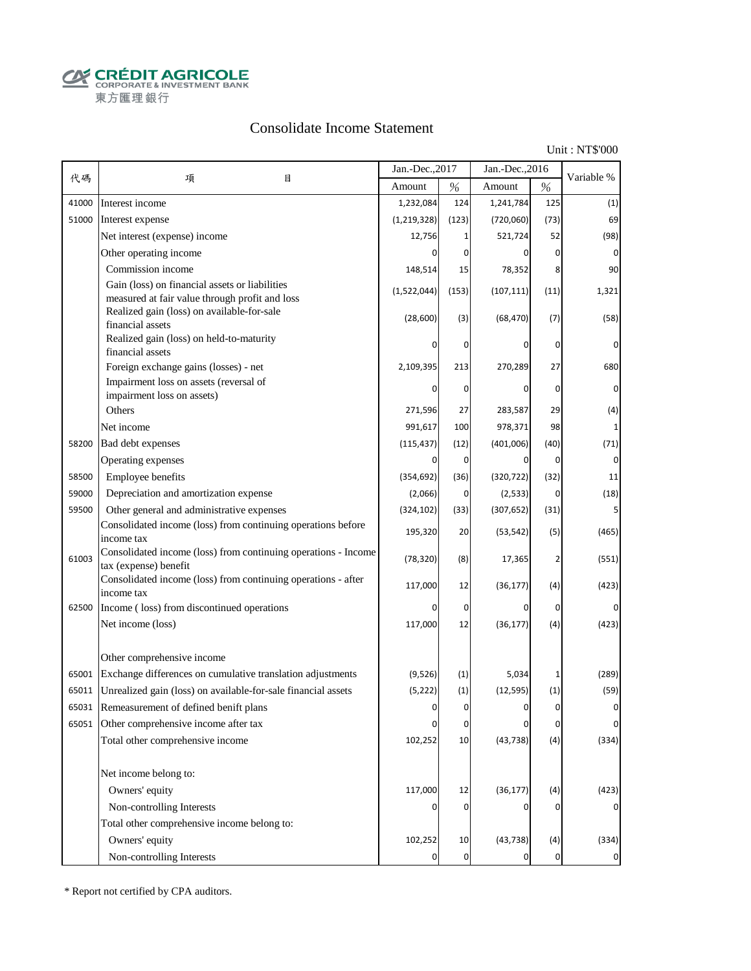**CALCOUT AGRICOLE**<br>
CORPORATE & INVESTMENT BANK<br>
東方匯理銀行

### Consolidate Income Statement

Unit : NT\$'000

|       |                                                                                                  | Jan.-Dec., 2017 |                | Jan.-Dec., 2016 |                | Variable %     |
|-------|--------------------------------------------------------------------------------------------------|-----------------|----------------|-----------------|----------------|----------------|
| 代碼    | 項<br>目                                                                                           | Amount          | $\%$           | Amount          | $\%$           |                |
| 41000 | Interest income                                                                                  | 1,232,084       | 124            | 1,241,784       | 125            | (1)            |
| 51000 | Interest expense                                                                                 | (1, 219, 328)   | (123)          | (720,060)       | (73)           | 69             |
|       | Net interest (expense) income                                                                    | 12,756          |                | 521,724         | 52             | (98)           |
|       | Other operating income                                                                           | 0               | 0              | 0               | 0              | 0              |
|       | Commission income                                                                                | 148,514         | 15             | 78,352          | 8              | 90             |
|       | Gain (loss) on financial assets or liabilities<br>measured at fair value through profit and loss | (1,522,044)     | (153)          | (107, 111)      | (11)           | 1,321          |
|       | Realized gain (loss) on available-for-sale<br>financial assets                                   | (28, 600)       | (3)            | (68, 470)       | (7)            | (58)           |
|       | Realized gain (loss) on held-to-maturity<br>financial assets                                     | O               | 0              | 0               | 0              | 0              |
|       | Foreign exchange gains (losses) - net                                                            | 2,109,395       | 213            | 270,289         | 27             | 680            |
|       | Impairment loss on assets (reversal of                                                           |                 | 0              | $\Omega$        | 0              | 0              |
|       | impairment loss on assets)                                                                       |                 |                |                 |                |                |
|       | Others                                                                                           | 271,596         | 27             | 283,587         | 29             | (4)            |
|       | Net income                                                                                       | 991,617         | 100            | 978,371         | 98             |                |
| 58200 | Bad debt expenses                                                                                | (115, 437)      | (12)           | (401,006)       | (40)           | (71)           |
|       | Operating expenses                                                                               | 0               | 0              | 0               | $\overline{0}$ |                |
| 58500 | Employee benefits                                                                                | (354, 692)      | (36)           | (320, 722)      | (32)           | 11             |
| 59000 | Depreciation and amortization expense                                                            | (2,066)         | 0              | (2, 533)        | 0              | (18)           |
| 59500 | Other general and administrative expenses                                                        | (324, 102)      | (33)           | (307, 652)      | (31)           |                |
|       | Consolidated income (loss) from continuing operations before<br>income tax                       | 195,320         | 20             | (53, 542)       | (5)            | (465)          |
| 61003 | Consolidated income (loss) from continuing operations - Income<br>tax (expense) benefit          | (78, 320)       | (8)            | 17,365          | 2              | (551)          |
|       | Consolidated income (loss) from continuing operations - after<br>income tax                      | 117,000         | 12             | (36, 177)       | (4)            | (423)          |
| 62500 | Income (loss) from discontinued operations                                                       | 0               | $\mathbf 0$    | 0               | 0              |                |
|       | Net income (loss)                                                                                | 117,000         | 12             | (36, 177)       | (4)            | (423)          |
|       | Other comprehensive income                                                                       |                 |                |                 |                |                |
| 65001 | Exchange differences on cumulative translation adjustments                                       | (9,526)         | (1)            | 5,034           | 1              | (289)          |
| 65011 | Unrealized gain (loss) on available-for-sale financial assets                                    | (5, 222)        | (1)            | (12, 595)       | (1)            | (59)           |
| 65031 | Remeasurement of defined benift plans                                                            | U               | $\Omega$       |                 | $\Omega$       |                |
| 65051 | Other comprehensive income after tax                                                             | 0               | $\pmb{0}$      | 0               | $\overline{0}$ | $\overline{0}$ |
|       | Total other comprehensive income                                                                 | 102,252         | 10             | (43, 738)       | (4)            | (334)          |
|       | Net income belong to:                                                                            |                 |                |                 |                |                |
|       | Owners' equity                                                                                   | 117,000         | 12             | (36, 177)       | (4)            | (423)          |
|       | Non-controlling Interests                                                                        |                 | 0              | 0               | 0              |                |
|       | Total other comprehensive income belong to:                                                      |                 |                |                 |                |                |
|       | Owners' equity                                                                                   | 102,252         | 10             | (43, 738)       | (4)            | (334)          |
|       | Non-controlling Interests                                                                        | 0               | $\overline{0}$ | 0               | $\mathbf 0$    | $\mathbf 0$    |

\* Report not certified by CPA auditors.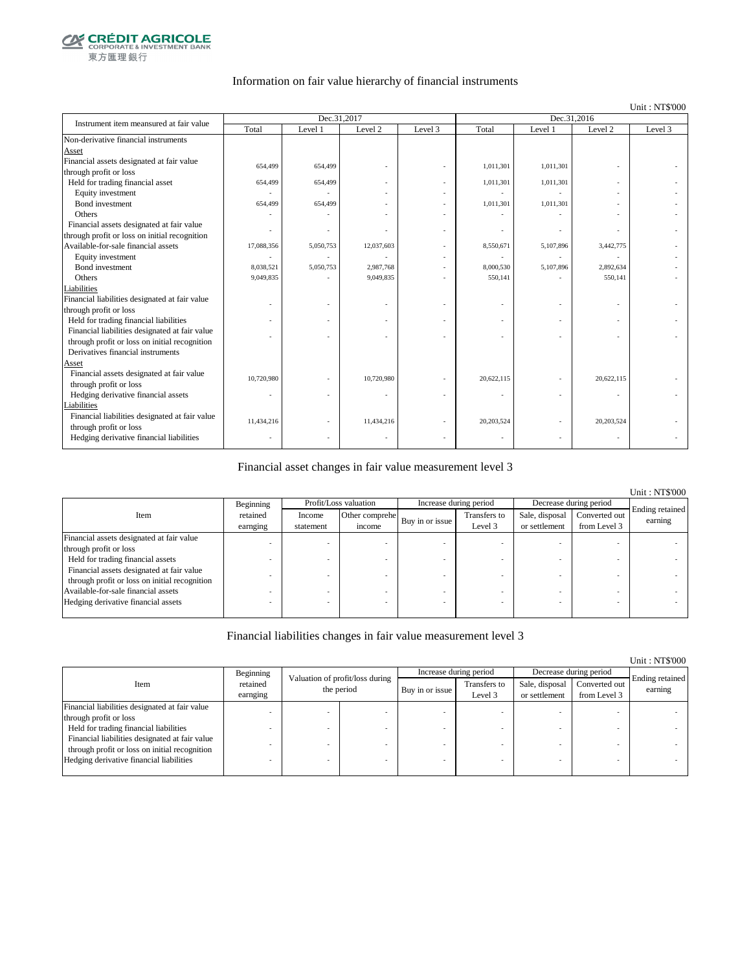

#### Information on fair value hierarchy of financial instruments

#### Unit : NT\$'000

| Instrument item meansured at fair value        |            | Dec.31,2017 |            |         | Dec.31,2016 |                          |            |         |
|------------------------------------------------|------------|-------------|------------|---------|-------------|--------------------------|------------|---------|
|                                                | Total      | Level 1     | Level 2    | Level 3 | Total       | Level 1                  | Level 2    | Level 3 |
| Non-derivative financial instruments           |            |             |            |         |             |                          |            |         |
| Asset                                          |            |             |            |         |             |                          |            |         |
| Financial assets designated at fair value      | 654,499    | 654,499     |            |         | 1,011,301   | 1,011,301                |            |         |
| through profit or loss                         |            |             |            |         |             |                          |            |         |
| Held for trading financial asset               | 654,499    | 654,499     |            |         | 1,011,301   | 1,011,301                |            |         |
| Equity investment                              |            |             |            |         |             |                          |            |         |
| Bond investment                                | 654,499    | 654,499     |            |         | 1,011,301   | 1,011,301                |            |         |
| Others                                         |            |             |            |         |             |                          |            |         |
| Financial assets designated at fair value      |            |             |            |         |             |                          |            |         |
| through profit or loss on initial recognition  |            |             |            |         |             |                          |            |         |
| Available-for-sale financial assets            | 17,088,356 | 5,050,753   | 12,037,603 |         | 8,550,671   | 5,107,896                | 3,442,775  |         |
| Equity investment                              |            |             |            |         |             |                          |            |         |
| Bond investment                                | 8,038,521  | 5,050,753   | 2,987,768  |         | 8,000,530   | 5,107,896                | 2,892,634  |         |
| Others                                         | 9.049.835  |             | 9.049.835  |         | 550.141     |                          | 550.141    |         |
| Liabilities                                    |            |             |            |         |             |                          |            |         |
| Financial liabilities designated at fair value |            |             |            |         |             |                          |            |         |
| through profit or loss                         |            |             |            |         |             |                          |            |         |
| Held for trading financial liabilities         |            |             |            |         |             |                          |            |         |
| Financial liabilities designated at fair value |            |             |            |         |             |                          |            |         |
| through profit or loss on initial recognition  |            |             |            |         |             |                          |            |         |
| Derivatives financial instruments              |            |             |            |         |             |                          |            |         |
| Asset                                          |            |             |            |         |             |                          |            |         |
| Financial assets designated at fair value      | 10,720,980 |             | 10,720,980 |         | 20,622,115  |                          | 20,622,115 |         |
| through profit or loss                         |            |             |            |         |             |                          |            |         |
| Hedging derivative financial assets            | ٠          |             |            |         |             | $\overline{\phantom{a}}$ | ٠          |         |
| Liabilities                                    |            |             |            |         |             |                          |            |         |
| Financial liabilities designated at fair value | 11,434,216 |             | 11,434,216 |         | 20,203,524  |                          | 20,203,524 |         |
| through profit or loss                         |            |             |            |         |             |                          |            |         |
| Hedging derivative financial liabilities       |            |             |            |         |             |                          |            |         |

#### Financial asset changes in fair value measurement level 3

|                                                                                            |                      |                     |                          |                        |                         |                                 |                               | <b>Unit: NT\$'000</b>      |
|--------------------------------------------------------------------------------------------|----------------------|---------------------|--------------------------|------------------------|-------------------------|---------------------------------|-------------------------------|----------------------------|
|                                                                                            | Beginning            |                     | Profit/Loss valuation    | Increase during period |                         | Decrease during period          |                               |                            |
| Item                                                                                       | retained<br>earnging | Income<br>statement | Other comprehe<br>income | Buy in or issue        | Transfers to<br>Level 3 | Sale, disposal<br>or settlement | Converted out<br>from Level 3 | Ending retained<br>earning |
| Financial assets designated at fair value                                                  |                      |                     |                          |                        |                         |                                 |                               |                            |
| through profit or loss                                                                     |                      |                     |                          |                        |                         |                                 |                               |                            |
| Held for trading financial assets                                                          |                      |                     |                          |                        |                         |                                 |                               |                            |
| Financial assets designated at fair value<br>through profit or loss on initial recognition |                      |                     |                          |                        |                         |                                 |                               |                            |
| Available-for-sale financial assets                                                        |                      |                     |                          |                        |                         |                                 |                               |                            |
| Hedging derivative financial assets                                                        |                      |                     |                          |                        |                         |                                 |                               |                            |

#### Financial liabilities changes in fair value measurement level 3

|                                                |                      |   |                                               |                 |                         |                                 |                               | Unit: NT\$'000             |
|------------------------------------------------|----------------------|---|-----------------------------------------------|-----------------|-------------------------|---------------------------------|-------------------------------|----------------------------|
|                                                | Beginning            |   |                                               |                 | Increase during period  |                                 | Decrease during period        |                            |
| Item                                           | retained<br>earnging |   | Valuation of profit/loss during<br>the period | Buy in or issue | Transfers to<br>Level 3 | Sale, disposal<br>or settlement | Converted out<br>from Level 3 | Ending retained<br>earning |
| Financial liabilities designated at fair value |                      |   |                                               |                 |                         |                                 |                               |                            |
| through profit or loss                         |                      |   |                                               |                 |                         |                                 |                               |                            |
| Held for trading financial liabilities         |                      |   |                                               |                 |                         |                                 |                               |                            |
| Financial liabilities designated at fair value |                      |   |                                               |                 |                         |                                 |                               |                            |
| through profit or loss on initial recognition  |                      |   |                                               |                 |                         |                                 |                               |                            |
| Hedging derivative financial liabilities       |                      | ۰ |                                               |                 |                         | <b>.</b>                        |                               |                            |
|                                                |                      |   |                                               |                 |                         |                                 |                               |                            |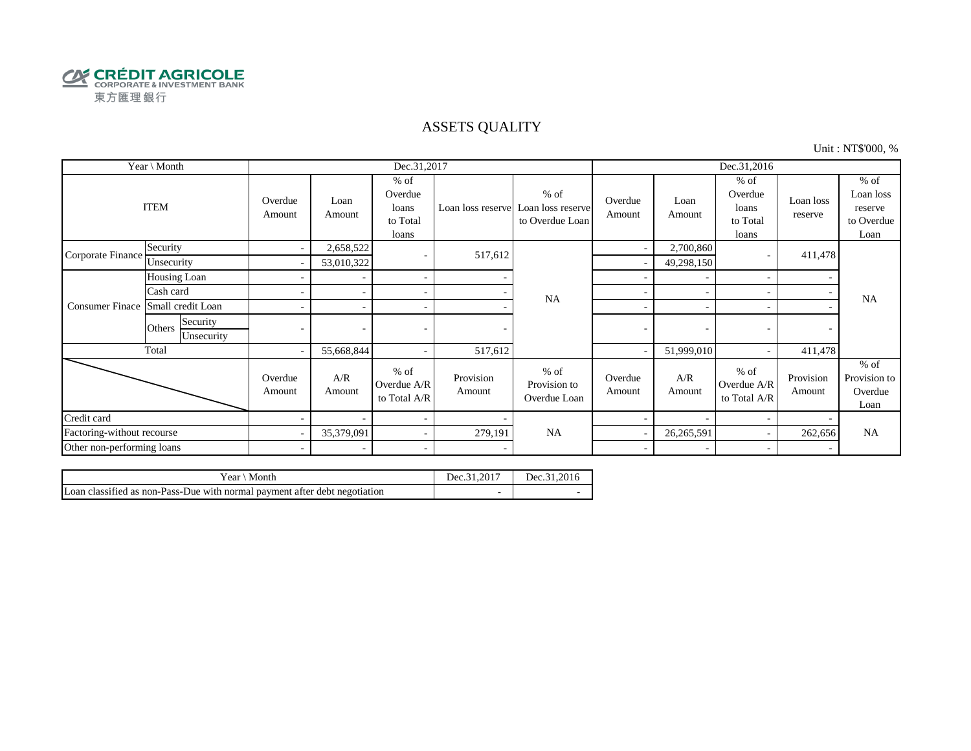

#### ASSETS QUALITY

Unit : NT\$'000, %

| Year \ Month               |                                  |                          |                | Dec.31,2017                                     |                     |                                                                  | Dec.31,2016              |                |                                                 |                      |                                                      |
|----------------------------|----------------------------------|--------------------------|----------------|-------------------------------------------------|---------------------|------------------------------------------------------------------|--------------------------|----------------|-------------------------------------------------|----------------------|------------------------------------------------------|
|                            | <b>ITEM</b>                      | Overdue<br>Amount        | Loan<br>Amount | $%$ of<br>Overdue<br>loans<br>to Total<br>loans |                     | $%$ of<br>Loan loss reserve Loan loss reserve<br>to Overdue Loan | Overdue<br>Amount        | Loan<br>Amount | $%$ of<br>Overdue<br>loans<br>to Total<br>loans | Loan loss<br>reserve | $%$ of<br>Loan loss<br>reserve<br>to Overdue<br>Loan |
| Corporate Finance          | Security                         | $\overline{\phantom{a}}$ | 2,658,522      | $\overline{\phantom{a}}$                        | 517,612             |                                                                  | $\overline{\phantom{a}}$ | 2,700,860      |                                                 | 411,478              |                                                      |
|                            | Unsecurity                       |                          | 53,010,322     |                                                 |                     |                                                                  |                          | 49,298,150     |                                                 |                      |                                                      |
|                            | Housing Loan                     |                          |                | $\overline{\phantom{a}}$                        |                     |                                                                  |                          |                |                                                 |                      |                                                      |
|                            | Cash card                        |                          |                | $\sim$                                          |                     | <b>NA</b>                                                        |                          |                |                                                 |                      | <b>NA</b>                                            |
| <b>Consumer Finace</b>     | Small credit Loan                |                          |                | $\sim$                                          |                     |                                                                  | ۰                        |                |                                                 |                      |                                                      |
|                            | Security<br>Others<br>Unsecurity |                          |                |                                                 |                     |                                                                  | -                        | ٠              |                                                 |                      |                                                      |
|                            | Total                            | $\overline{\phantom{a}}$ | 55,668,844     | $\sim$                                          | 517,612             |                                                                  |                          | 51,999,010     |                                                 | 411,478              |                                                      |
|                            |                                  | Overdue<br>Amount        | A/R<br>Amount  | $%$ of<br>Overdue A/R<br>to Total A/R           | Provision<br>Amount | $%$ of<br>Provision to<br>Overdue Loan                           | Overdue<br>Amount        | A/R<br>Amount  | $%$ of<br>Overdue A/R<br>to Total A/R           | Provision<br>Amount  | $%$ of<br>Provision to<br>Overdue<br>Loan            |
| Credit card                |                                  |                          |                | $\overline{\phantom{a}}$                        |                     |                                                                  |                          |                |                                                 |                      |                                                      |
| Factoring-without recourse |                                  |                          | 35,379,091     | $\sim$                                          | 279,191             | <b>NA</b>                                                        |                          | 26,265,591     |                                                 | 262,656              | <b>NA</b>                                            |
| Other non-performing loans |                                  | $\overline{a}$           |                | $\sim$                                          |                     |                                                                  | $\sim$                   |                |                                                 |                      |                                                      |

| $Year \setminus Month$                                                     | Dec.31.2017 | Dec.31.2016 |
|----------------------------------------------------------------------------|-------------|-------------|
| Loan classified as non-Pass-Due with normal payment after debt negotiation |             |             |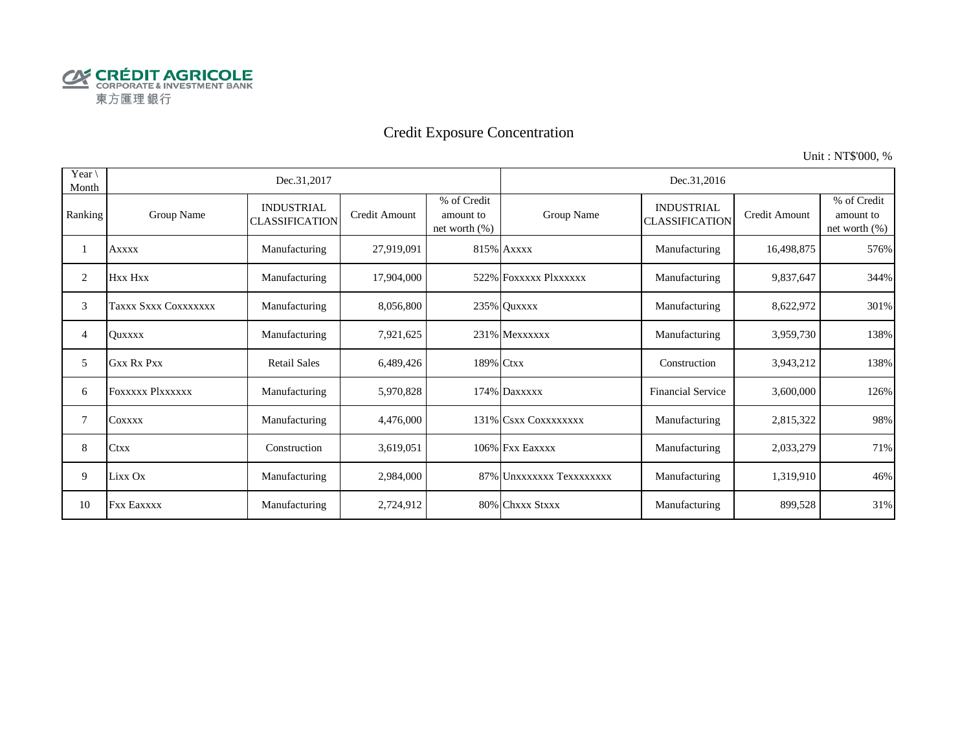

# Credit Exposure Concentration

Unit : NT\$'000, %

| Year $\setminus$<br>Month |                         | Dec.31,2017                                |               |                                               | Dec.31,2016              |                                            |               |                                              |  |  |
|---------------------------|-------------------------|--------------------------------------------|---------------|-----------------------------------------------|--------------------------|--------------------------------------------|---------------|----------------------------------------------|--|--|
| Ranking                   | Group Name              | <b>INDUSTRIAL</b><br><b>CLASSIFICATION</b> | Credit Amount | % of Credit<br>amount to<br>net worth $(\% )$ | Group Name               | <b>INDUSTRIAL</b><br><b>CLASSIFICATION</b> | Credit Amount | % of Credit<br>amount to<br>net worth $(\%)$ |  |  |
|                           | <b>Axxxx</b>            | Manufacturing                              | 27,919,091    |                                               | 815% Axxxx               | Manufacturing                              | 16,498,875    | 576%                                         |  |  |
| 2                         | Hxx Hxx                 | Manufacturing                              | 17,904,000    |                                               | 522% FOXXXXX PlXXXXXX    | Manufacturing                              | 9,837,647     | 344%                                         |  |  |
| 3                         | Taxxx Sxxx Coxxxxxxx    | Manufacturing                              | 8,056,800     |                                               | 235% Quxxxx              | Manufacturing                              | 8,622,972     | 301%                                         |  |  |
| 4                         | <b>Ouxxxx</b>           | Manufacturing                              | 7,921,625     |                                               | 231% Mexxxxxx            | Manufacturing                              | 3,959,730     | 138%                                         |  |  |
| 5                         | <b>Gxx Rx Pxx</b>       | <b>Retail Sales</b>                        | 6,489,426     | 189% Ctxx                                     |                          | Construction                               | 3,943,212     | 138%                                         |  |  |
| 6                         | <b>FOXXXXX PIXXXXXX</b> | Manufacturing                              | 5,970,828     |                                               | 174% Daxxxxx             | <b>Financial Service</b>                   | 3,600,000     | 126%                                         |  |  |
| 7                         | COXXXX                  | Manufacturing                              | 4,476,000     |                                               | 131% CSXX COXXXXXXX      | Manufacturing                              | 2,815,322     | 98%                                          |  |  |
| 8                         | <b>Ctxx</b>             | Construction                               | 3,619,051     |                                               | 106% Fxx Eaxxxx          | Manufacturing                              | 2,033,279     | 71%                                          |  |  |
| 9                         | Lixx Ox                 | Manufacturing                              | 2,984,000     |                                               | 87% Unxxxxxxx Texxxxxxxx | Manufacturing                              | 1,319,910     | 46%                                          |  |  |
| 10                        | <b>Fxx Eaxxxx</b>       | Manufacturing                              | 2,724,912     |                                               | 80% Chxxx Stxxx          | Manufacturing                              | 899,528       | 31%                                          |  |  |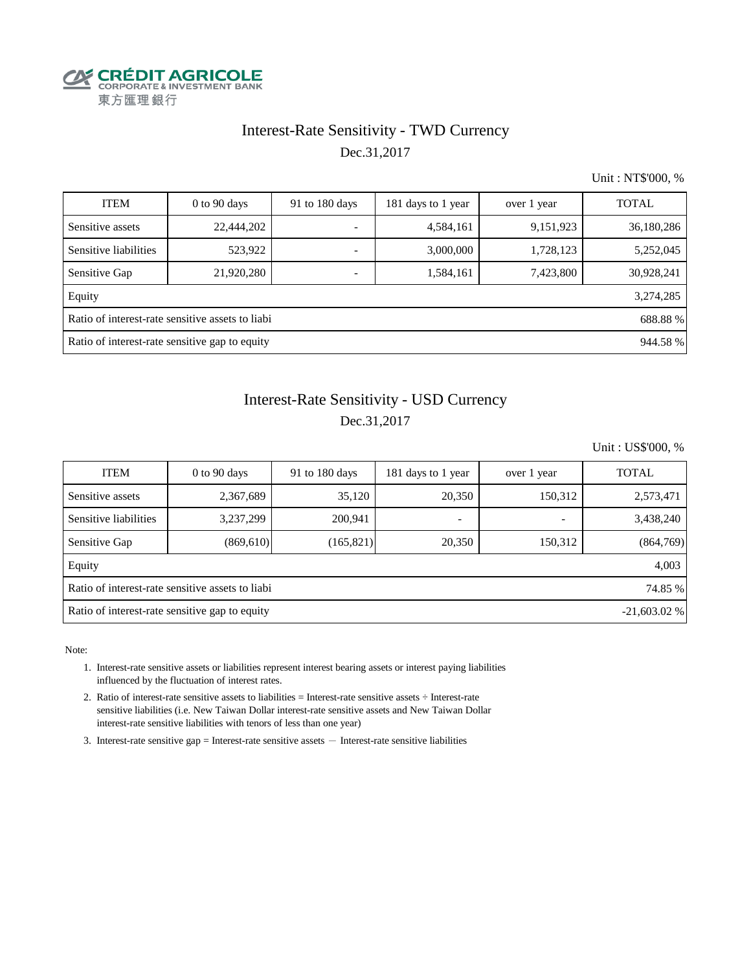

## Interest-Rate Sensitivity - TWD Currency Dec.31,2017

Unit : NT\$'000, %

| <b>ITEM</b>                                                 | $0$ to $90$ days | 91 to 180 days | 181 days to 1 year | over 1 year | <b>TOTAL</b> |  |  |  |  |
|-------------------------------------------------------------|------------------|----------------|--------------------|-------------|--------------|--|--|--|--|
| Sensitive assets                                            | 22,444,202       |                | 4,584,161          | 9,151,923   | 36,180,286   |  |  |  |  |
| Sensitive liabilities                                       | 523,922          |                | 3,000,000          | 1,728,123   | 5,252,045    |  |  |  |  |
| Sensitive Gap                                               | 21,920,280       |                | 1,584,161          | 7,423,800   | 30,928,241   |  |  |  |  |
| Equity                                                      |                  |                |                    |             | 3,274,285    |  |  |  |  |
| Ratio of interest-rate sensitive assets to liabi<br>688.88% |                  |                |                    |             |              |  |  |  |  |
| Ratio of interest-rate sensitive gap to equity<br>944.58 %  |                  |                |                    |             |              |  |  |  |  |

## Dec.31,2017 Interest-Rate Sensitivity - USD Currency

Unit : US\$'000, %

| <b>ITEM</b>                                                     | $0$ to 90 days | 91 to $180$ days | 181 days to 1 year       | over 1 year | <b>TOTAL</b> |  |  |  |  |
|-----------------------------------------------------------------|----------------|------------------|--------------------------|-------------|--------------|--|--|--|--|
| Sensitive assets                                                | 2,367,689      | 35,120           | 20,350                   | 150,312     | 2,573,471    |  |  |  |  |
| Sensitive liabilities                                           | 3,237,299      | 200,941          | $\overline{\phantom{0}}$ | -           | 3,438,240    |  |  |  |  |
| Sensitive Gap                                                   | (869, 610)     | (165, 821)       | 20,350                   | 150,312     | (864,769)    |  |  |  |  |
| Equity                                                          |                |                  |                          |             | 4,003        |  |  |  |  |
| Ratio of interest-rate sensitive assets to liabi<br>74.85 %     |                |                  |                          |             |              |  |  |  |  |
| Ratio of interest-rate sensitive gap to equity<br>$-21,603.02%$ |                |                  |                          |             |              |  |  |  |  |

Note:

- 1. Interest-rate sensitive assets or liabilities represent interest bearing assets or interest paying liabilities influenced by the fluctuation of interest rates.
- 2. Ratio of interest-rate sensitive assets to liabilities = Interest-rate sensitive assets ÷ Interest-rate sensitive liabilities (i.e. New Taiwan Dollar interest-rate sensitive assets and New Taiwan Dollar interest-rate sensitive liabilities with tenors of less than one year)
- 3. Interest-rate sensitive gap = Interest-rate sensitive assets  $-$  Interest-rate sensitive liabilities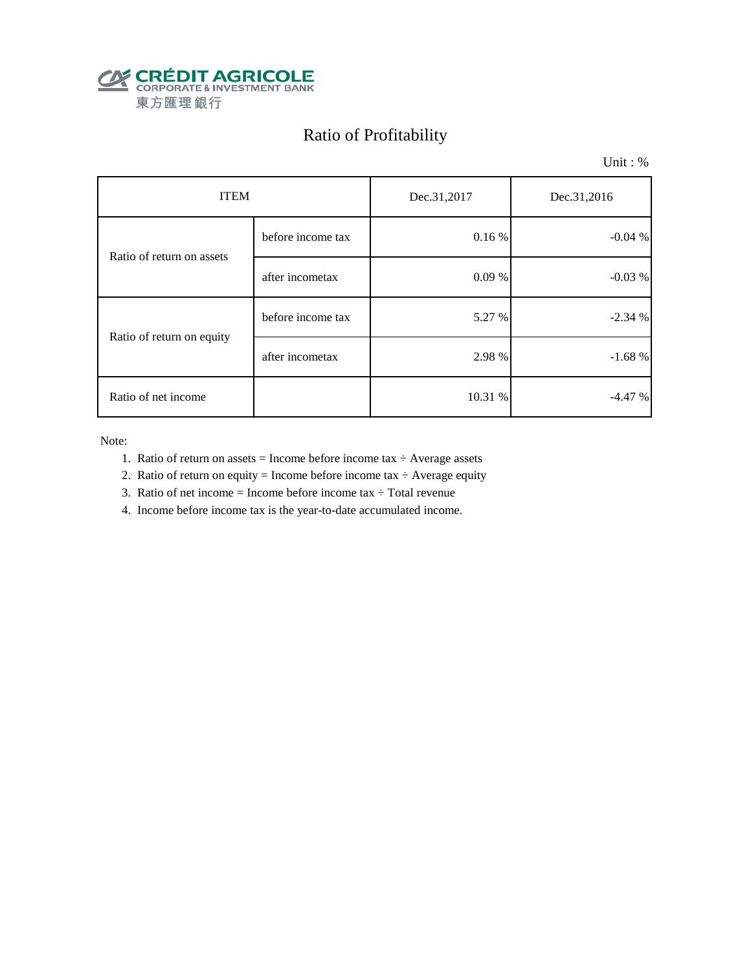

# Ratio of Profitability

Unit : %

| <b>ITEM</b>               |                   | Dec.31,2017 | Dec.31,2016 |  |
|---------------------------|-------------------|-------------|-------------|--|
| Ratio of return on assets | before income tax | 0.16%       | $-0.04%$    |  |
|                           | after incometax   | 0.09%       | $-0.03%$    |  |
| Ratio of return on equity | before income tax | 5.27 %      | $-2.34%$    |  |
|                           | after incometax   | 2.98 %      | $-1.68%$    |  |
| Ratio of net income       |                   | 10.31 %     | $-4.47%$    |  |

Note:

- 1. Ratio of return on assets = Income before income tax  $\div$  Average assets
- 2. Ratio of return on equity = Income before income tax  $\div$  Average equity
- 3. Ratio of net income = Income before income tax  $\div$  Total revenue
- 4. Income before income tax is the year-to-date accumulated income.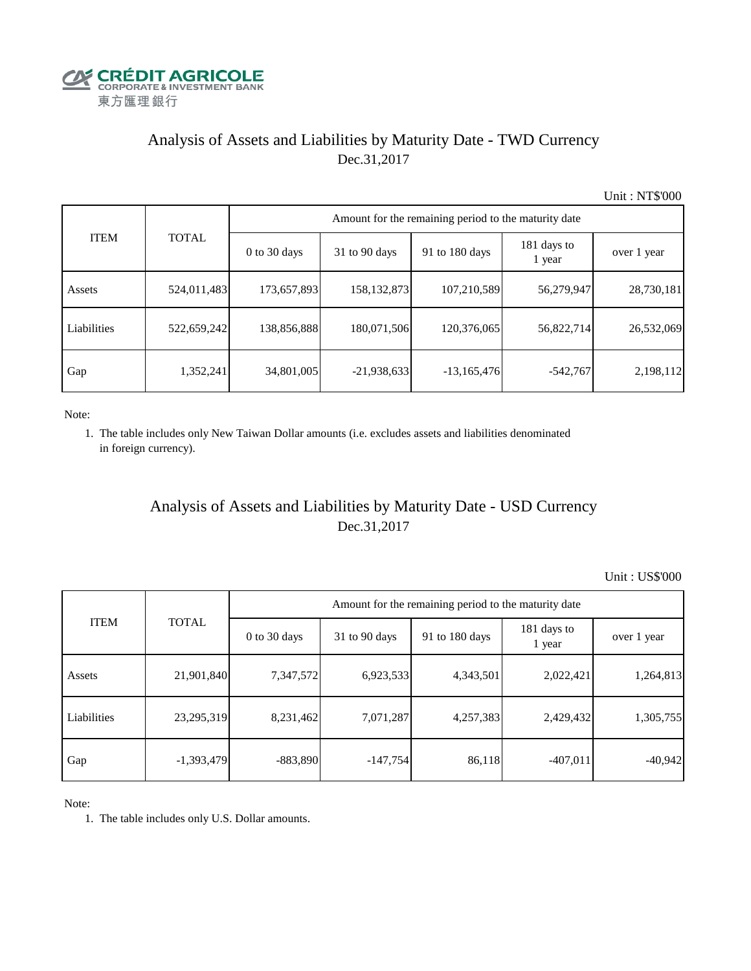

## Analysis of Assets and Liabilities by Maturity Date - TWD Currency Dec.31,2017

Unit : NT\$'000

| <b>ITEM</b> | <b>TOTAL</b> | Amount for the remaining period to the maturity date |                 |                |                       |             |  |  |
|-------------|--------------|------------------------------------------------------|-----------------|----------------|-----------------------|-------------|--|--|
|             |              | $0$ to 30 days                                       | $31$ to 90 days | 91 to 180 days | 181 days to<br>1 year | over 1 year |  |  |
| Assets      | 524,011,483  | 173,657,893                                          | 158, 132, 873   | 107,210,589    | 56,279,947            | 28,730,181  |  |  |
| Liabilities | 522,659,242  | 138,856,888                                          | 180,071,506     | 120,376,065    | 56,822,714            | 26,532,069  |  |  |
| Gap         | 1,352,241    | 34,801,005                                           | $-21,938,633$   | $-13,165,476$  | $-542,767$            | 2,198,112   |  |  |

Note:

 1. The table includes only New Taiwan Dollar amounts (i.e. excludes assets and liabilities denominated in foreign currency).

## Analysis of Assets and Liabilities by Maturity Date - USD Currency Dec.31,2017

Unit : US\$'000

|             | <b>TOTAL</b> | Amount for the remaining period to the maturity date |                 |                |                       |             |  |  |
|-------------|--------------|------------------------------------------------------|-----------------|----------------|-----------------------|-------------|--|--|
| <b>ITEM</b> |              | $0$ to 30 days                                       | $31$ to 90 days | 91 to 180 days | 181 days to<br>1 year | over 1 year |  |  |
| Assets      | 21,901,840   | 7,347,572                                            | 6,923,533       | 4,343,501      | 2,022,421             | 1,264,813   |  |  |
| Liabilities | 23,295,319   | 8,231,462                                            | 7,071,287       | 4,257,383      | 2,429,432             | 1,305,755   |  |  |
| Gap         | $-1,393,479$ | $-883,890$                                           | $-147,754$      | 86,118         | $-407,011$            | $-40,942$   |  |  |

Note:

1. The table includes only U.S. Dollar amounts.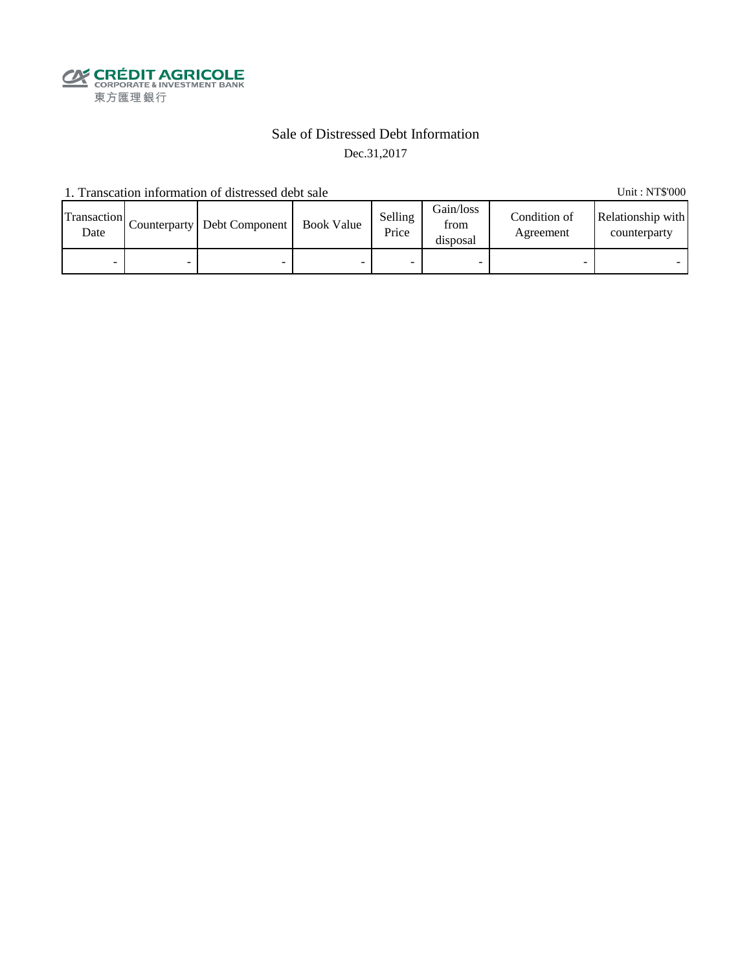

### Sale of Distressed Debt Information Dec.31,2017

1. Transcation information of distressed debt sale Unit: NT\$'000

Transaction  $\frac{\text{D}}{\text{Date}}$  Counterparty Debt Component Book Value Selling Price Gain/loss from disposal Condition of Agreement Relationship with counterparty - - - - - - - -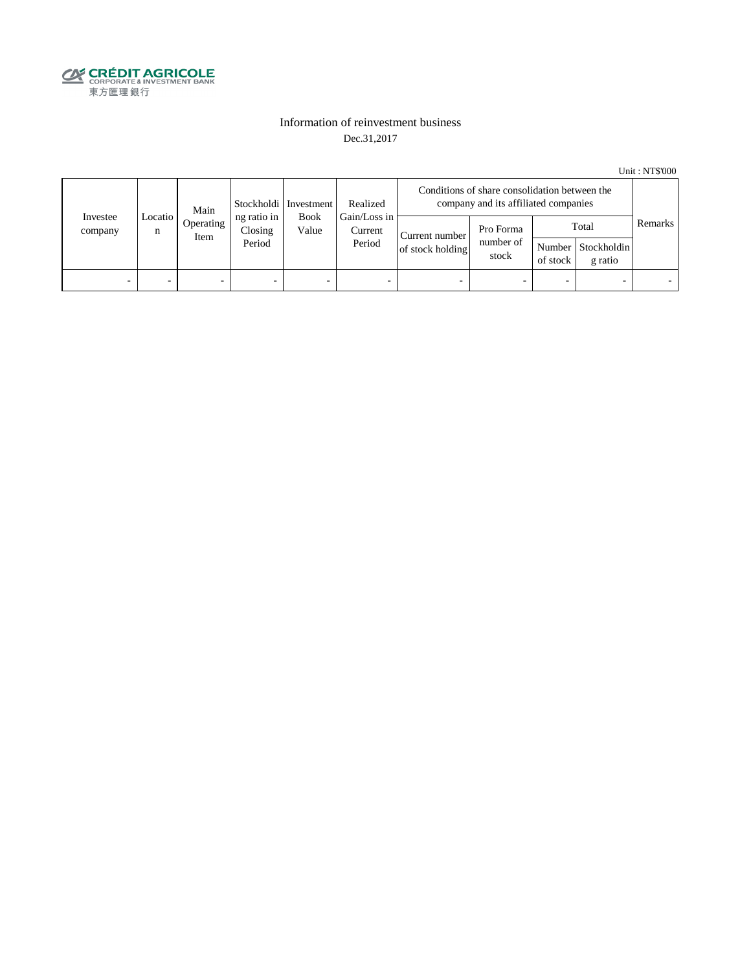

#### Information of reinvestment business Dec.31,2017

Unit : NT\$'000

|                     | Main         |                   | Stockholdi   Investment          | Realized             | Conditions of share consolidation between the<br>company and its affiliated companies |                                    |                                 |          |                                        |         |
|---------------------|--------------|-------------------|----------------------------------|----------------------|---------------------------------------------------------------------------------------|------------------------------------|---------------------------------|----------|----------------------------------------|---------|
| Investee<br>company | Locatio<br>n | Operating<br>Item | ng ratio in<br>Closing<br>Period | <b>Book</b><br>Value | Gain/Loss in<br>Current<br>Period                                                     | Current number<br>of stock holding | Pro Forma<br>number of<br>stock | of stock | Total<br>Number Stockholdin<br>g ratio | Remarks |
| -                   |              | -                 |                                  | -                    | $\overline{\phantom{a}}$                                                              |                                    |                                 | -        |                                        |         |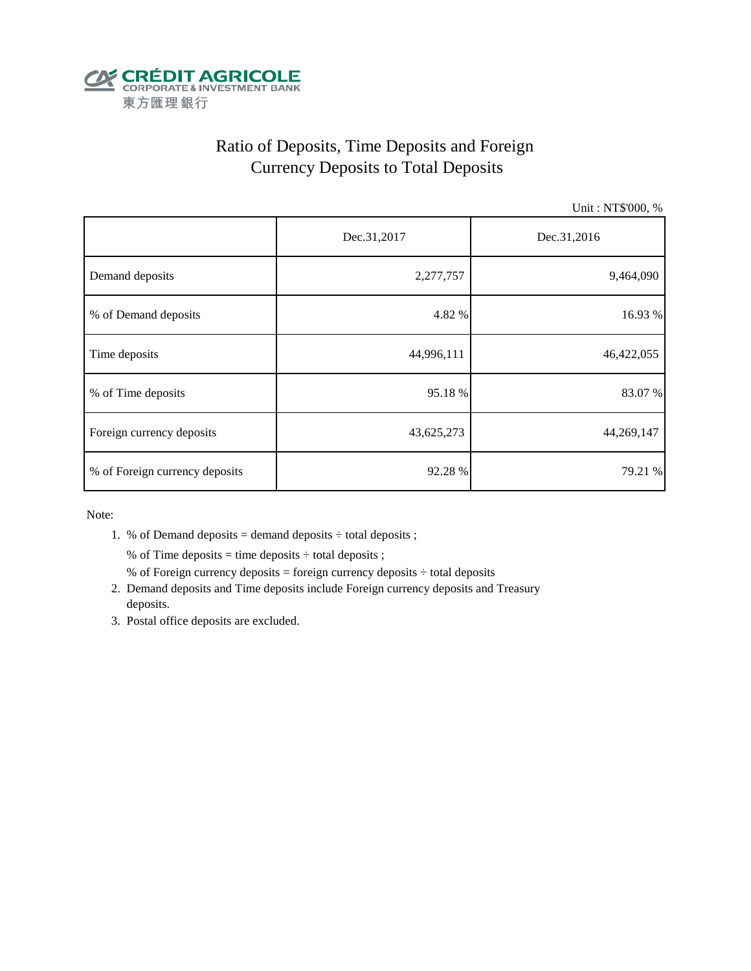

# Ratio of Deposits, Time Deposits and Foreign Currency Deposits to Total Deposits

Unit : NT\$'000, %

|                                | Dec.31,2017 | Dec.31,2016 |  |  |
|--------------------------------|-------------|-------------|--|--|
| Demand deposits                | 2,277,757   | 9,464,090   |  |  |
| % of Demand deposits           | 4.82 %      | 16.93 %     |  |  |
| Time deposits                  | 44,996,111  | 46,422,055  |  |  |
| % of Time deposits             | 95.18 %     | 83.07 %     |  |  |
| Foreign currency deposits      | 43,625,273  | 44,269,147  |  |  |
| % of Foreign currency deposits | 92.28 %     | 79.21 %     |  |  |

Note:

1. % of Demand deposits = demand deposits  $\div$  total deposits ;

% of Time deposits = time deposits  $\div$  total deposits ;

- % of Foreign currency deposits = foreign currency deposits  $\div$  total deposits
- 2. Demand deposits and Time deposits include Foreign currency deposits and Treasury deposits.
- 3. Postal office deposits are excluded.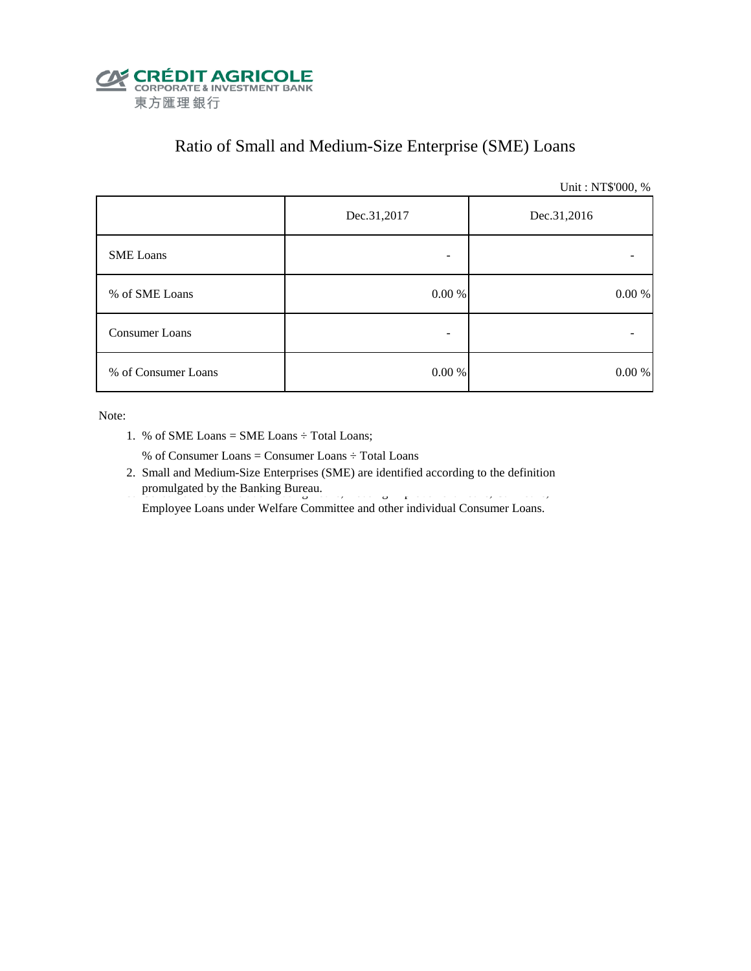

# Ratio of Small and Medium-Size Enterprise (SME) Loans

Unit : NT\$'000, %

|                     | Dec.31,2017 | Dec.31,2016 |  |  |
|---------------------|-------------|-------------|--|--|
| <b>SME</b> Loans    |             |             |  |  |
| % of SME Loans      | 0.00 %      | $0.00\ \%$  |  |  |
| Consumer Loans      |             |             |  |  |
| % of Consumer Loans | 0.00 %      | 0.00 %      |  |  |

Note:

1. % of SME Loans = SME Loans ÷ Total Loans;

% of Consumer Loans = Consumer Loans ÷ Total Loans

 2. Small and Medium-Size Enterprises (SME) are identified according to the definition promulgated by the Banking Bureau.

Employee Loans under Welfare Committee and other individual Consumer Loans.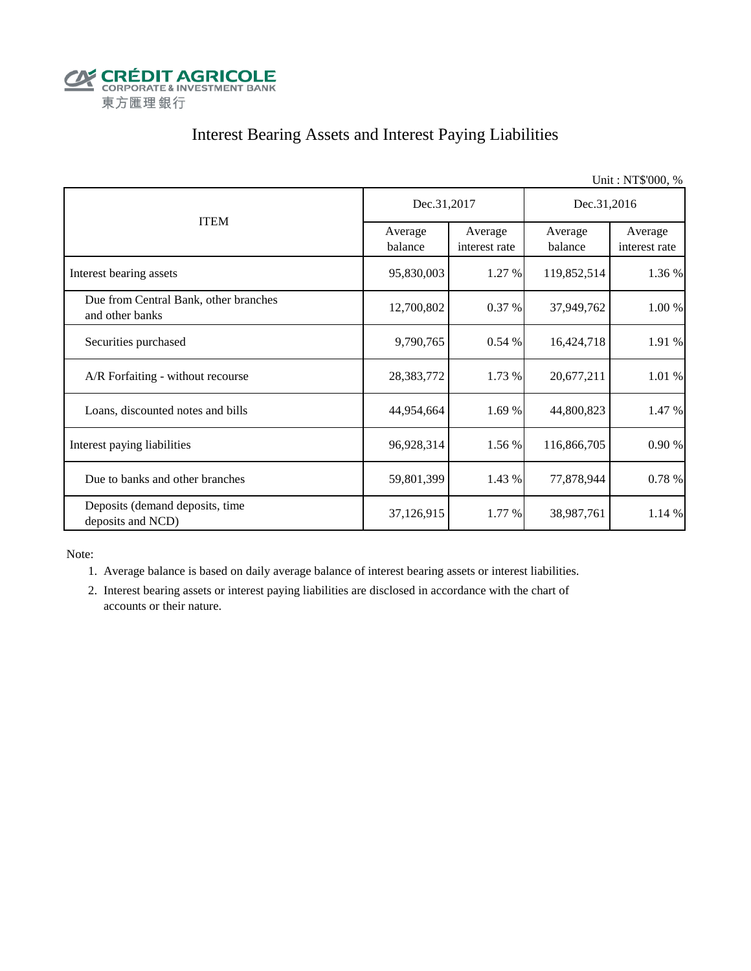

## Interest Bearing Assets and Interest Paying Liabilities

|                                                          |                    |                          |                    | Unit: NT\$'000, %        |  |
|----------------------------------------------------------|--------------------|--------------------------|--------------------|--------------------------|--|
|                                                          | Dec.31,2017        |                          | Dec.31,2016        |                          |  |
| <b>ITEM</b>                                              | Average<br>balance | Average<br>interest rate | Average<br>balance | Average<br>interest rate |  |
| Interest bearing assets                                  | 95,830,003         | 1.27 %                   | 119,852,514        | 1.36 %                   |  |
| Due from Central Bank, other branches<br>and other banks | 12,700,802         | 0.37%                    | 37,949,762         | 1.00 %                   |  |
| Securities purchased                                     | 9,790,765          | 0.54%                    | 16,424,718         | 1.91 %                   |  |
| A/R Forfaiting - without recourse                        | 28,383,772         | 1.73 %                   | 20,677,211         | 1.01 %                   |  |
| Loans, discounted notes and bills                        | 44,954,664         | 1.69 %                   | 44,800,823         | 1.47 %                   |  |
| Interest paying liabilities                              | 96,928,314         | 1.56 %                   | 116,866,705        | 0.90%                    |  |
| Due to banks and other branches                          | 59,801,399         | 1.43 %                   | 77,878,944         | 0.78 %                   |  |
| Deposits (demand deposits, time<br>deposits and NCD)     | 37,126,915         | 1.77 %                   | 38,987,761         | 1.14 %                   |  |

Note:

1. Average balance is based on daily average balance of interest bearing assets or interest liabilities.

 2. Interest bearing assets or interest paying liabilities are disclosed in accordance with the chart of accounts or their nature.